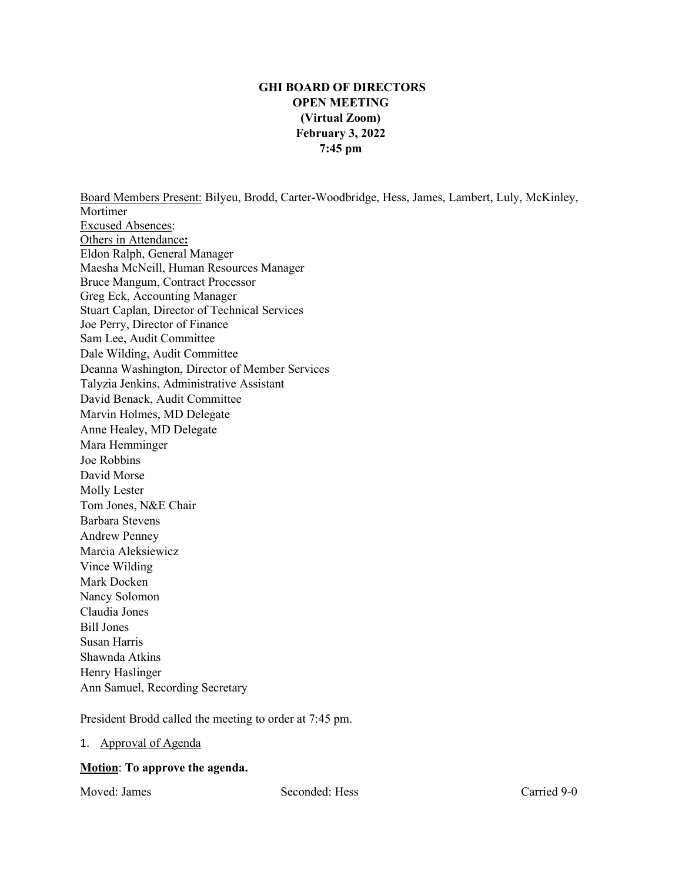# **GHI BOARD OF DIRECTORS OPEN MEETING (Virtual Zoom) February 3, 2022 7:45 pm**

Board Members Present: Bilyeu, Brodd, Carter-Woodbridge, Hess, James, Lambert, Luly, McKinley, Mortimer Excused Absences: Others in Attendance**:** Eldon Ralph, General Manager Maesha McNeill, Human Resources Manager Bruce Mangum, Contract Processor Greg Eck, Accounting Manager Stuart Caplan, Director of Technical Services Joe Perry, Director of Finance Sam Lee, Audit Committee Dale Wilding, Audit Committee Deanna Washington, Director of Member Services Talyzia Jenkins, Administrative Assistant David Benack, Audit Committee Marvin Holmes, MD Delegate Anne Healey, MD Delegate Mara Hemminger Joe Robbins David Morse Molly Lester Tom Jones, N&E Chair Barbara Stevens Andrew Penney Marcia Aleksiewicz Vince Wilding Mark Docken Nancy Solomon Claudia Jones Bill Jones Susan Harris Shawnda Atkins

President Brodd called the meeting to order at 7:45 pm.

#### 1. Approval of Agenda

#### **Motion**: **To approve the agenda.**

Ann Samuel, Recording Secretary

Henry Haslinger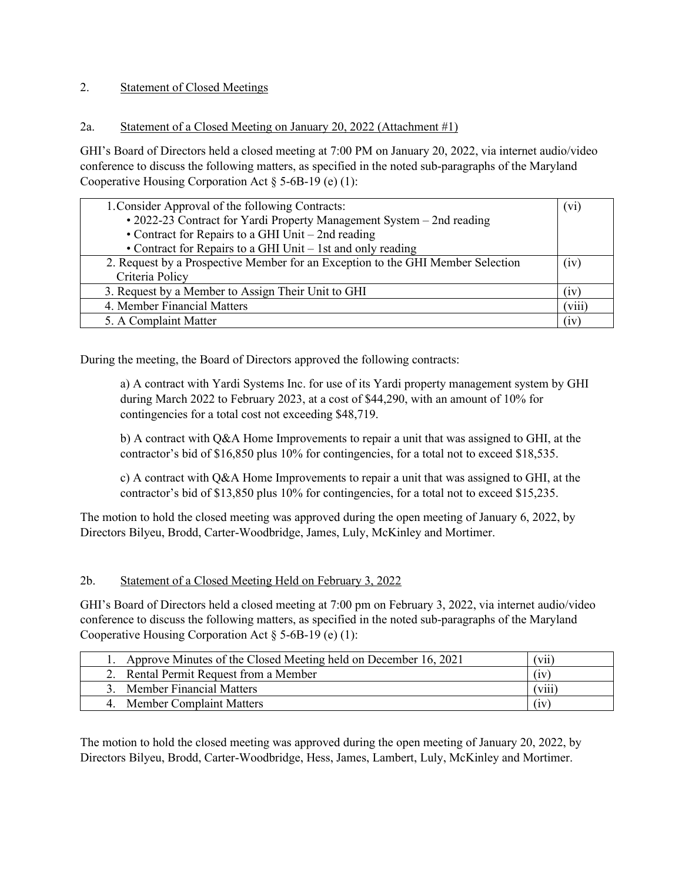## 2. Statement of Closed Meetings

## 2a. Statement of a Closed Meeting on January 20, 2022 (Attachment #1)

GHI's Board of Directors held a closed meeting at 7:00 PM on January 20, 2022, via internet audio/video conference to discuss the following matters, as specified in the noted sub-paragraphs of the Maryland Cooperative Housing Corporation Act § 5-6B-19 (e) (1):

| 1. Consider Approval of the following Contracts:                                | (V1)   |
|---------------------------------------------------------------------------------|--------|
| • 2022-23 Contract for Yardi Property Management System – 2nd reading           |        |
| • Contract for Repairs to a GHI Unit $-$ 2nd reading                            |        |
| • Contract for Repairs to a GHI Unit – 1st and only reading                     |        |
| 2. Request by a Prospective Member for an Exception to the GHI Member Selection | (1V)   |
| Criteria Policy                                                                 |        |
| 3. Request by a Member to Assign Their Unit to GHI                              | (1V)   |
| 4. Member Financial Matters                                                     | (viii) |
| 5. A Complaint Matter                                                           | (1V)   |

During the meeting, the Board of Directors approved the following contracts:

a) A contract with Yardi Systems Inc. for use of its Yardi property management system by GHI during March 2022 to February 2023, at a cost of \$44,290, with an amount of 10% for contingencies for a total cost not exceeding \$48,719.

b) A contract with Q&A Home Improvements to repair a unit that was assigned to GHI, at the contractor's bid of \$16,850 plus 10% for contingencies, for a total not to exceed \$18,535.

c) A contract with Q&A Home Improvements to repair a unit that was assigned to GHI, at the contractor's bid of \$13,850 plus 10% for contingencies, for a total not to exceed \$15,235.

The motion to hold the closed meeting was approved during the open meeting of January 6, 2022, by Directors Bilyeu, Brodd, Carter-Woodbridge, James, Luly, McKinley and Mortimer.

#### 2b. Statement of a Closed Meeting Held on February 3, 2022

GHI's Board of Directors held a closed meeting at 7:00 pm on February 3, 2022, via internet audio/video conference to discuss the following matters, as specified in the noted sub-paragraphs of the Maryland Cooperative Housing Corporation Act § 5-6B-19 (e) (1):

| Approve Minutes of the Closed Meeting held on December 16, 2021 | $\cdots$<br>[ V11 ] |
|-----------------------------------------------------------------|---------------------|
| 2. Rental Permit Request from a Member                          | 1V                  |
| <b>Member Financial Matters</b>                                 | [ V111]             |
| <b>Member Complaint Matters</b>                                 | (iv)                |

The motion to hold the closed meeting was approved during the open meeting of January 20, 2022, by Directors Bilyeu, Brodd, Carter-Woodbridge, Hess, James, Lambert, Luly, McKinley and Mortimer.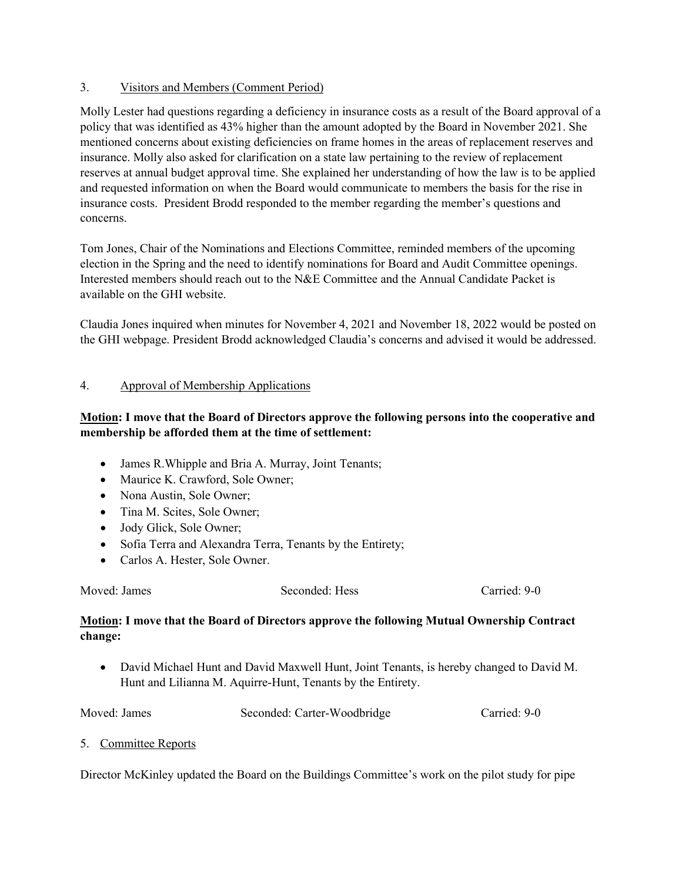### 3. Visitors and Members (Comment Period)

Molly Lester had questions regarding a deficiency in insurance costs as a result of the Board approval of a policy that was identified as 43% higher than the amount adopted by the Board in November 2021. She mentioned concerns about existing deficiencies on frame homes in the areas of replacement reserves and insurance. Molly also asked for clarification on a state law pertaining to the review of replacement reserves at annual budget approval time. She explained her understanding of how the law is to be applied and requested information on when the Board would communicate to members the basis for the rise in insurance costs. President Brodd responded to the member regarding the member's questions and concerns.

Tom Jones, Chair of the Nominations and Elections Committee, reminded members of the upcoming election in the Spring and the need to identify nominations for Board and Audit Committee openings. Interested members should reach out to the N&E Committee and the Annual Candidate Packet is available on the GHI website.

Claudia Jones inquired when minutes for November 4, 2021 and November 18, 2022 would be posted on the GHI webpage. President Brodd acknowledged Claudia's concerns and advised it would be addressed.

## 4. Approval of Membership Applications

# **Motion: I move that the Board of Directors approve the following persons into the cooperative and membership be afforded them at the time of settlement:**

- James R.Whipple and Bria A. Murray, Joint Tenants;
- Maurice K. Crawford, Sole Owner;
- Nona Austin, Sole Owner;
- Tina M. Scites, Sole Owner;
- Jody Glick, Sole Owner;
- Sofia Terra and Alexandra Terra, Tenants by the Entirety;
- Carlos A. Hester, Sole Owner.

Moved: James Seconded: Hess Carried: 9-0

## **Motion: I move that the Board of Directors approve the following Mutual Ownership Contract change:**

• David Michael Hunt and David Maxwell Hunt, Joint Tenants, is hereby changed to David M. Hunt and Lilianna M. Aquirre-Hunt, Tenants by the Entirety.

| Moved: James | Seconded: Carter-Woodbridge | Carried: 9-0 |
|--------------|-----------------------------|--------------|
|--------------|-----------------------------|--------------|

5. Committee Reports

Director McKinley updated the Board on the Buildings Committee's work on the pilot study for pipe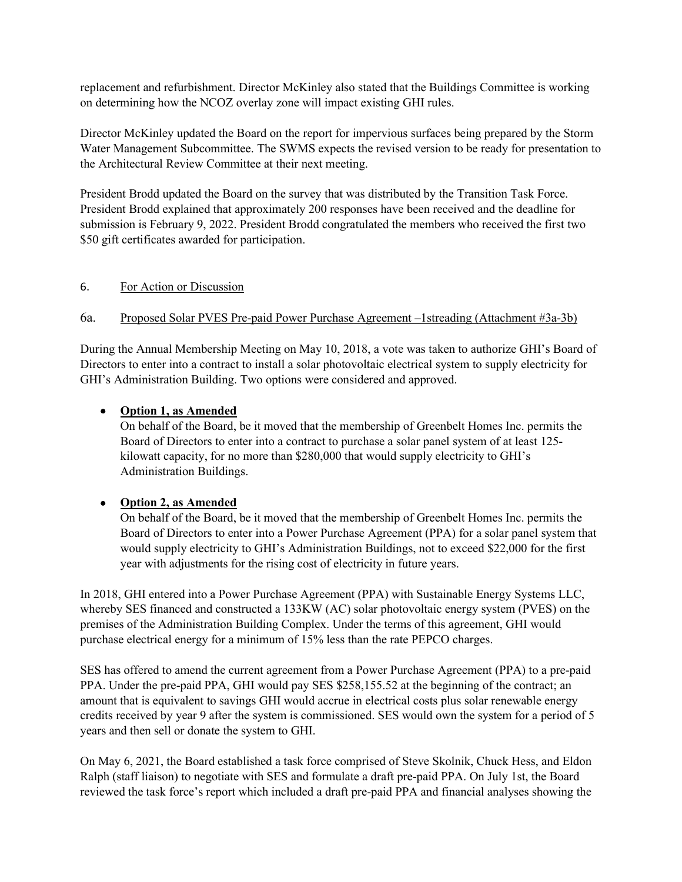replacement and refurbishment. Director McKinley also stated that the Buildings Committee is working on determining how the NCOZ overlay zone will impact existing GHI rules.

Director McKinley updated the Board on the report for impervious surfaces being prepared by the Storm Water Management Subcommittee. The SWMS expects the revised version to be ready for presentation to the Architectural Review Committee at their next meeting.

President Brodd updated the Board on the survey that was distributed by the Transition Task Force. President Brodd explained that approximately 200 responses have been received and the deadline for submission is February 9, 2022. President Brodd congratulated the members who received the first two \$50 gift certificates awarded for participation.

### 6. For Action or Discussion

## 6a. Proposed Solar PVES Pre-paid Power Purchase Agreement –1streading (Attachment #3a-3b)

During the Annual Membership Meeting on May 10, 2018, a vote was taken to authorize GHI's Board of Directors to enter into a contract to install a solar photovoltaic electrical system to supply electricity for GHI's Administration Building. Two options were considered and approved.

## • **Option 1, as Amended**

On behalf of the Board, be it moved that the membership of Greenbelt Homes Inc. permits the Board of Directors to enter into a contract to purchase a solar panel system of at least 125 kilowatt capacity, for no more than \$280,000 that would supply electricity to GHI's Administration Buildings.

## • **Option 2, as Amended**

On behalf of the Board, be it moved that the membership of Greenbelt Homes Inc. permits the Board of Directors to enter into a Power Purchase Agreement (PPA) for a solar panel system that would supply electricity to GHI's Administration Buildings, not to exceed \$22,000 for the first year with adjustments for the rising cost of electricity in future years.

In 2018, GHI entered into a Power Purchase Agreement (PPA) with Sustainable Energy Systems LLC, whereby SES financed and constructed a 133KW (AC) solar photovoltaic energy system (PVES) on the premises of the Administration Building Complex. Under the terms of this agreement, GHI would purchase electrical energy for a minimum of 15% less than the rate PEPCO charges.

SES has offered to amend the current agreement from a Power Purchase Agreement (PPA) to a pre-paid PPA. Under the pre-paid PPA, GHI would pay SES \$258,155.52 at the beginning of the contract; an amount that is equivalent to savings GHI would accrue in electrical costs plus solar renewable energy credits received by year 9 after the system is commissioned. SES would own the system for a period of 5 years and then sell or donate the system to GHI.

On May 6, 2021, the Board established a task force comprised of Steve Skolnik, Chuck Hess, and Eldon Ralph (staff liaison) to negotiate with SES and formulate a draft pre-paid PPA. On July 1st, the Board reviewed the task force's report which included a draft pre-paid PPA and financial analyses showing the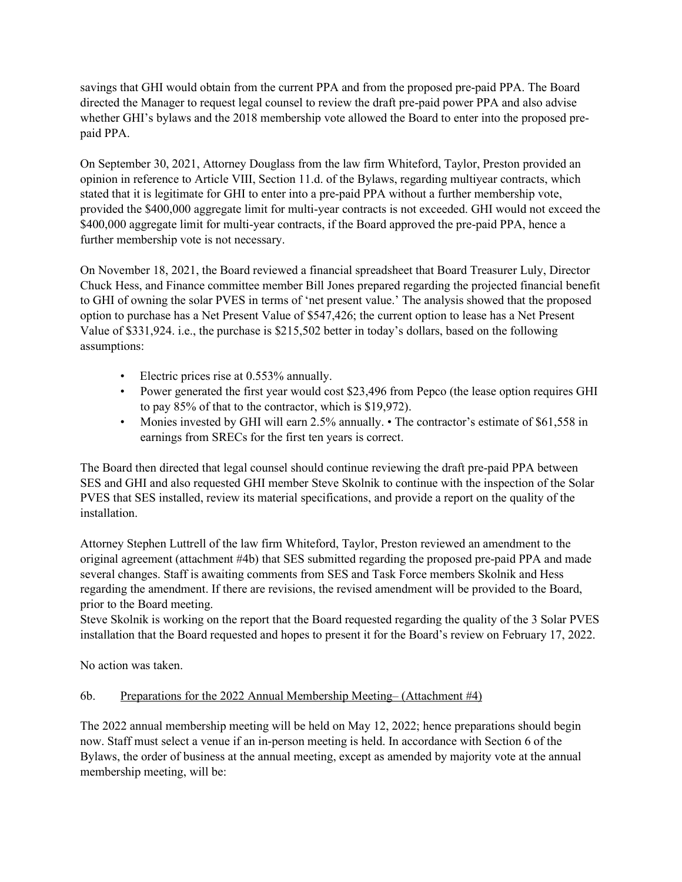savings that GHI would obtain from the current PPA and from the proposed pre-paid PPA. The Board directed the Manager to request legal counsel to review the draft pre-paid power PPA and also advise whether GHI's bylaws and the 2018 membership vote allowed the Board to enter into the proposed prepaid PPA.

On September 30, 2021, Attorney Douglass from the law firm Whiteford, Taylor, Preston provided an opinion in reference to Article VIII, Section 11.d. of the Bylaws, regarding multiyear contracts, which stated that it is legitimate for GHI to enter into a pre-paid PPA without a further membership vote, provided the \$400,000 aggregate limit for multi-year contracts is not exceeded. GHI would not exceed the \$400,000 aggregate limit for multi-year contracts, if the Board approved the pre-paid PPA, hence a further membership vote is not necessary.

On November 18, 2021, the Board reviewed a financial spreadsheet that Board Treasurer Luly, Director Chuck Hess, and Finance committee member Bill Jones prepared regarding the projected financial benefit to GHI of owning the solar PVES in terms of 'net present value.' The analysis showed that the proposed option to purchase has a Net Present Value of \$547,426; the current option to lease has a Net Present Value of \$331,924. i.e., the purchase is \$215,502 better in today's dollars, based on the following assumptions:

- Electric prices rise at 0.553% annually.
- Power generated the first year would cost \$23,496 from Pepco (the lease option requires GHI to pay 85% of that to the contractor, which is \$19,972).
- Monies invested by GHI will earn 2.5% annually. The contractor's estimate of \$61,558 in earnings from SRECs for the first ten years is correct.

The Board then directed that legal counsel should continue reviewing the draft pre-paid PPA between SES and GHI and also requested GHI member Steve Skolnik to continue with the inspection of the Solar PVES that SES installed, review its material specifications, and provide a report on the quality of the installation.

Attorney Stephen Luttrell of the law firm Whiteford, Taylor, Preston reviewed an amendment to the original agreement (attachment #4b) that SES submitted regarding the proposed pre-paid PPA and made several changes. Staff is awaiting comments from SES and Task Force members Skolnik and Hess regarding the amendment. If there are revisions, the revised amendment will be provided to the Board, prior to the Board meeting.

Steve Skolnik is working on the report that the Board requested regarding the quality of the 3 Solar PVES installation that the Board requested and hopes to present it for the Board's review on February 17, 2022.

No action was taken.

## 6b. Preparations for the 2022 Annual Membership Meeting– (Attachment #4)

The 2022 annual membership meeting will be held on May 12, 2022; hence preparations should begin now. Staff must select a venue if an in-person meeting is held. In accordance with Section 6 of the Bylaws, the order of business at the annual meeting, except as amended by majority vote at the annual membership meeting, will be: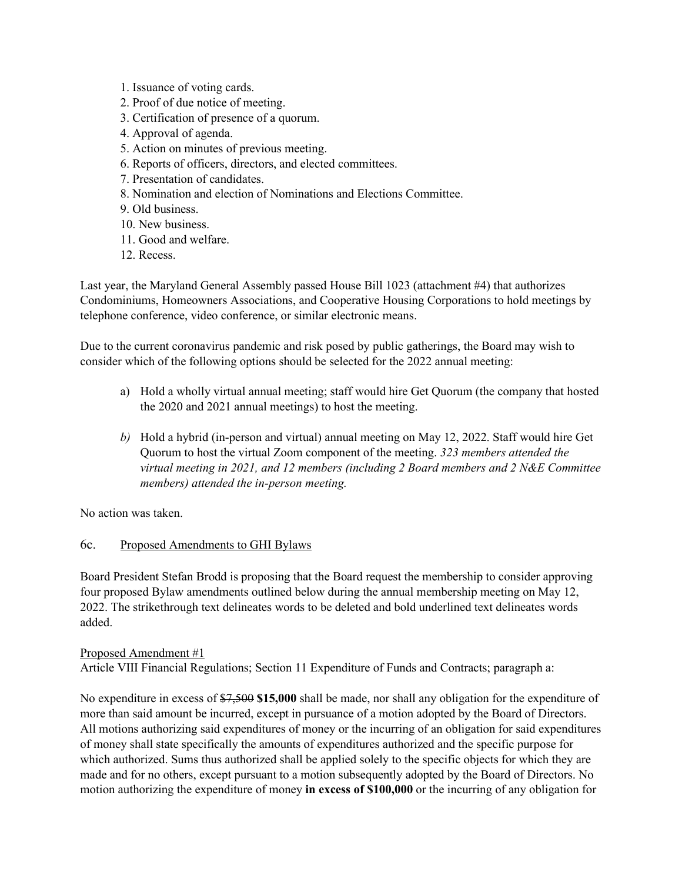- 1. Issuance of voting cards.
- 2. Proof of due notice of meeting.
- 3. Certification of presence of a quorum.
- 4. Approval of agenda.
- 5. Action on minutes of previous meeting.
- 6. Reports of officers, directors, and elected committees.
- 7. Presentation of candidates.
- 8. Nomination and election of Nominations and Elections Committee.
- 9. Old business.
- 10. New business.
- 11. Good and welfare.
- 12. Recess.

Last year, the Maryland General Assembly passed House Bill 1023 (attachment #4) that authorizes Condominiums, Homeowners Associations, and Cooperative Housing Corporations to hold meetings by telephone conference, video conference, or similar electronic means.

Due to the current coronavirus pandemic and risk posed by public gatherings, the Board may wish to consider which of the following options should be selected for the 2022 annual meeting:

- a) Hold a wholly virtual annual meeting; staff would hire Get Quorum (the company that hosted the 2020 and 2021 annual meetings) to host the meeting.
- *b)* Hold a hybrid (in-person and virtual) annual meeting on May 12, 2022. Staff would hire Get Quorum to host the virtual Zoom component of the meeting. *323 members attended the virtual meeting in 2021, and 12 members (including 2 Board members and 2 N&E Committee members) attended the in-person meeting.*

No action was taken.

## 6c. Proposed Amendments to GHI Bylaws

Board President Stefan Brodd is proposing that the Board request the membership to consider approving four proposed Bylaw amendments outlined below during the annual membership meeting on May 12, 2022. The strikethrough text delineates words to be deleted and bold underlined text delineates words added.

#### Proposed Amendment #1

Article VIII Financial Regulations; Section 11 Expenditure of Funds and Contracts; paragraph a:

No expenditure in excess of \$7,500 **\$15,000** shall be made, nor shall any obligation for the expenditure of more than said amount be incurred, except in pursuance of a motion adopted by the Board of Directors. All motions authorizing said expenditures of money or the incurring of an obligation for said expenditures of money shall state specifically the amounts of expenditures authorized and the specific purpose for which authorized. Sums thus authorized shall be applied solely to the specific objects for which they are made and for no others, except pursuant to a motion subsequently adopted by the Board of Directors. No motion authorizing the expenditure of money **in excess of \$100,000** or the incurring of any obligation for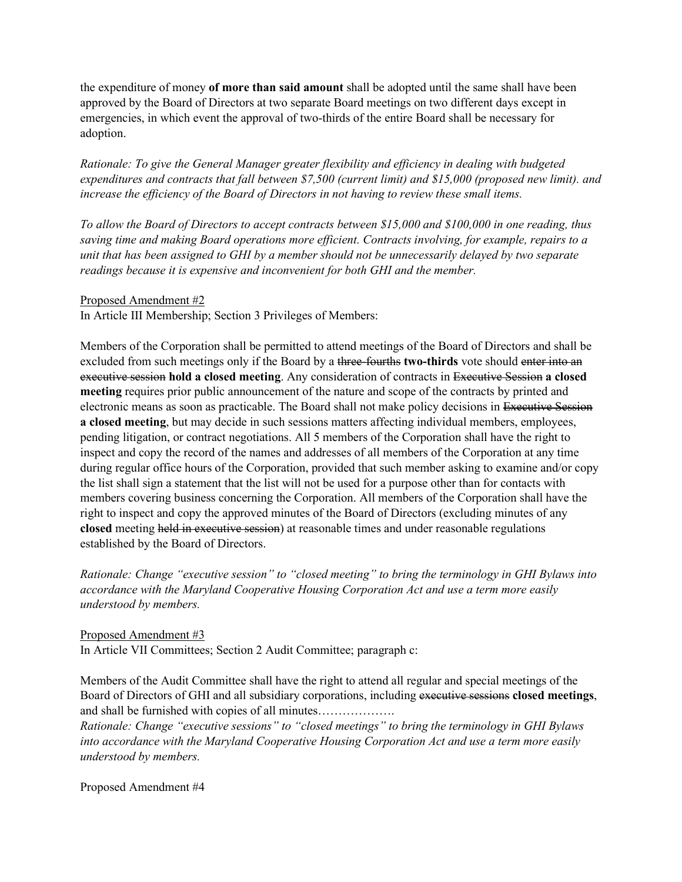the expenditure of money **of more than said amount** shall be adopted until the same shall have been approved by the Board of Directors at two separate Board meetings on two different days except in emergencies, in which event the approval of two-thirds of the entire Board shall be necessary for adoption.

*Rationale: To give the General Manager greater flexibility and efficiency in dealing with budgeted expenditures and contracts that fall between \$7,500 (current limit) and \$15,000 (proposed new limit). and increase the efficiency of the Board of Directors in not having to review these small items.* 

*To allow the Board of Directors to accept contracts between \$15,000 and \$100,000 in one reading, thus saving time and making Board operations more efficient. Contracts involving, for example, repairs to a unit that has been assigned to GHI by a member should not be unnecessarily delayed by two separate readings because it is expensive and inconvenient for both GHI and the member.* 

#### Proposed Amendment #2

In Article III Membership; Section 3 Privileges of Members:

Members of the Corporation shall be permitted to attend meetings of the Board of Directors and shall be excluded from such meetings only if the Board by a three-fourths **two-thirds** vote should enter into an executive session **hold a closed meeting**. Any consideration of contracts in Executive Session **a closed meeting** requires prior public announcement of the nature and scope of the contracts by printed and electronic means as soon as practicable. The Board shall not make policy decisions in Executive Session **a closed meeting**, but may decide in such sessions matters affecting individual members, employees, pending litigation, or contract negotiations. All 5 members of the Corporation shall have the right to inspect and copy the record of the names and addresses of all members of the Corporation at any time during regular office hours of the Corporation, provided that such member asking to examine and/or copy the list shall sign a statement that the list will not be used for a purpose other than for contacts with members covering business concerning the Corporation. All members of the Corporation shall have the right to inspect and copy the approved minutes of the Board of Directors (excluding minutes of any **closed** meeting held in executive session) at reasonable times and under reasonable regulations established by the Board of Directors.

*Rationale: Change "executive session" to "closed meeting" to bring the terminology in GHI Bylaws into accordance with the Maryland Cooperative Housing Corporation Act and use a term more easily understood by members.* 

#### Proposed Amendment #3

In Article VII Committees; Section 2 Audit Committee; paragraph c:

Members of the Audit Committee shall have the right to attend all regular and special meetings of the Board of Directors of GHI and all subsidiary corporations, including executive sessions **closed meetings**, and shall be furnished with copies of all minutes……………….

*Rationale: Change "executive sessions" to "closed meetings" to bring the terminology in GHI Bylaws into accordance with the Maryland Cooperative Housing Corporation Act and use a term more easily understood by members.* 

Proposed Amendment #4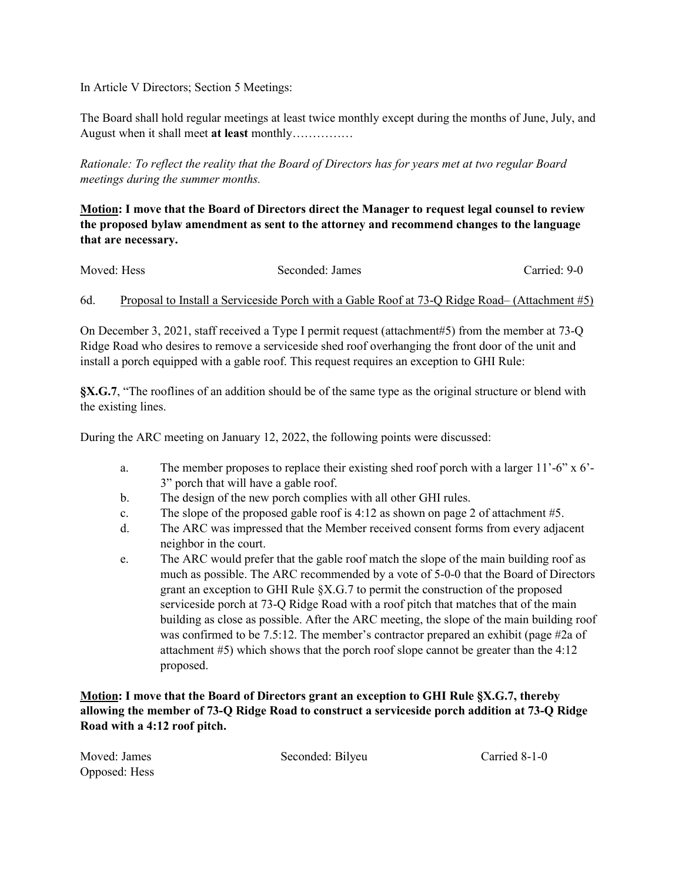In Article V Directors; Section 5 Meetings:

The Board shall hold regular meetings at least twice monthly except during the months of June, July, and August when it shall meet **at least** monthly……………

*Rationale: To reflect the reality that the Board of Directors has for years met at two regular Board meetings during the summer months.*

**Motion: I move that the Board of Directors direct the Manager to request legal counsel to review the proposed bylaw amendment as sent to the attorney and recommend changes to the language that are necessary.**

|                                                                                                      | Carried: 9-0 |
|------------------------------------------------------------------------------------------------------|--------------|
| Proposal to Install a Serviceside Porch with a Gable Roof at 73-Q Ridge Road– (Attachment #5)<br>6d. |              |

On December 3, 2021, staff received a Type I permit request (attachment#5) from the member at 73-Q Ridge Road who desires to remove a serviceside shed roof overhanging the front door of the unit and install a porch equipped with a gable roof. This request requires an exception to GHI Rule:

**§X.G.7**, "The rooflines of an addition should be of the same type as the original structure or blend with the existing lines.

During the ARC meeting on January 12, 2022, the following points were discussed:

- a. The member proposes to replace their existing shed roof porch with a larger 11'-6" x 6'- 3" porch that will have a gable roof.
- b. The design of the new porch complies with all other GHI rules.
- c. The slope of the proposed gable roof is  $4:12$  as shown on page 2 of attachment #5.
- d. The ARC was impressed that the Member received consent forms from every adjacent neighbor in the court.
- e. The ARC would prefer that the gable roof match the slope of the main building roof as much as possible. The ARC recommended by a vote of 5-0-0 that the Board of Directors grant an exception to GHI Rule §X.G.7 to permit the construction of the proposed serviceside porch at 73-Q Ridge Road with a roof pitch that matches that of the main building as close as possible. After the ARC meeting, the slope of the main building roof was confirmed to be 7.5:12. The member's contractor prepared an exhibit (page #2a of attachment #5) which shows that the porch roof slope cannot be greater than the 4:12 proposed.

**Motion: I move that the Board of Directors grant an exception to GHI Rule §X.G.7, thereby allowing the member of 73-Q Ridge Road to construct a serviceside porch addition at 73-Q Ridge Road with a 4:12 roof pitch.** 

Opposed: Hess

Moved: James Seconded: Bilyeu Carried 8-1-0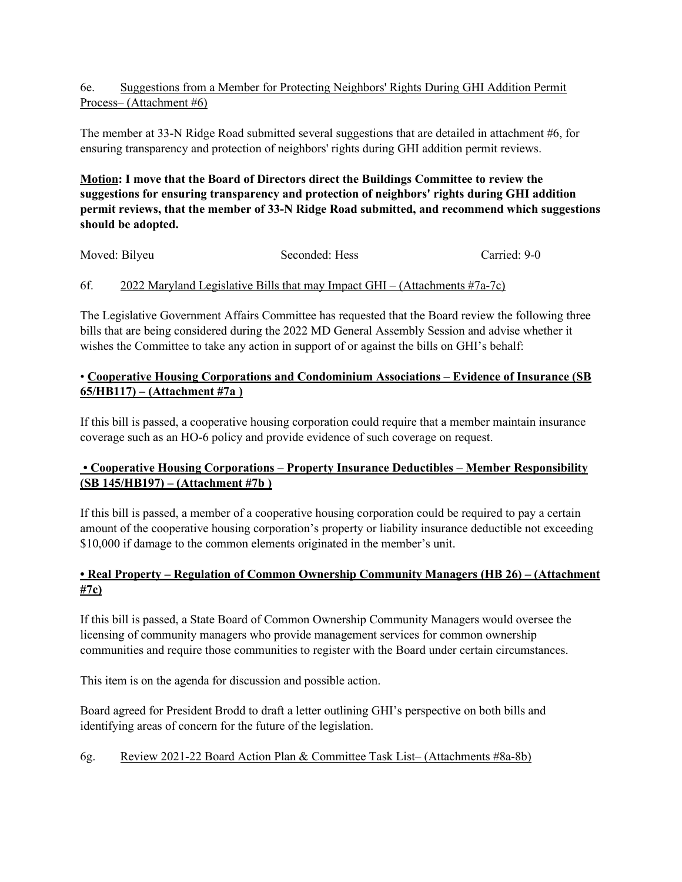## 6e. Suggestions from a Member for Protecting Neighbors' Rights During GHI Addition Permit Process– (Attachment #6)

The member at 33-N Ridge Road submitted several suggestions that are detailed in attachment #6, for ensuring transparency and protection of neighbors' rights during GHI addition permit reviews.

**Motion: I move that the Board of Directors direct the Buildings Committee to review the suggestions for ensuring transparency and protection of neighbors' rights during GHI addition permit reviews, that the member of 33-N Ridge Road submitted, and recommend which suggestions should be adopted.**

| Moved: Bilyeu | Seconded: Hess | Carried: 9-0 |
|---------------|----------------|--------------|
|               |                |              |

# 6f. 2022 Maryland Legislative Bills that may Impact GHI – (Attachments #7a-7c)

The Legislative Government Affairs Committee has requested that the Board review the following three bills that are being considered during the 2022 MD General Assembly Session and advise whether it wishes the Committee to take any action in support of or against the bills on GHI's behalf:

# • **Cooperative Housing Corporations and Condominium Associations – Evidence of Insurance (SB 65/HB117) – (Attachment #7a )**

If this bill is passed, a cooperative housing corporation could require that a member maintain insurance coverage such as an HO-6 policy and provide evidence of such coverage on request.

# **• Cooperative Housing Corporations – Property Insurance Deductibles – Member Responsibility (SB 145/HB197) – (Attachment #7b )**

If this bill is passed, a member of a cooperative housing corporation could be required to pay a certain amount of the cooperative housing corporation's property or liability insurance deductible not exceeding \$10,000 if damage to the common elements originated in the member's unit.

# **• Real Property – Regulation of Common Ownership Community Managers (HB 26) – (Attachment #7c)**

If this bill is passed, a State Board of Common Ownership Community Managers would oversee the licensing of community managers who provide management services for common ownership communities and require those communities to register with the Board under certain circumstances.

This item is on the agenda for discussion and possible action.

Board agreed for President Brodd to draft a letter outlining GHI's perspective on both bills and identifying areas of concern for the future of the legislation.

# 6g. Review 2021-22 Board Action Plan & Committee Task List– (Attachments #8a-8b)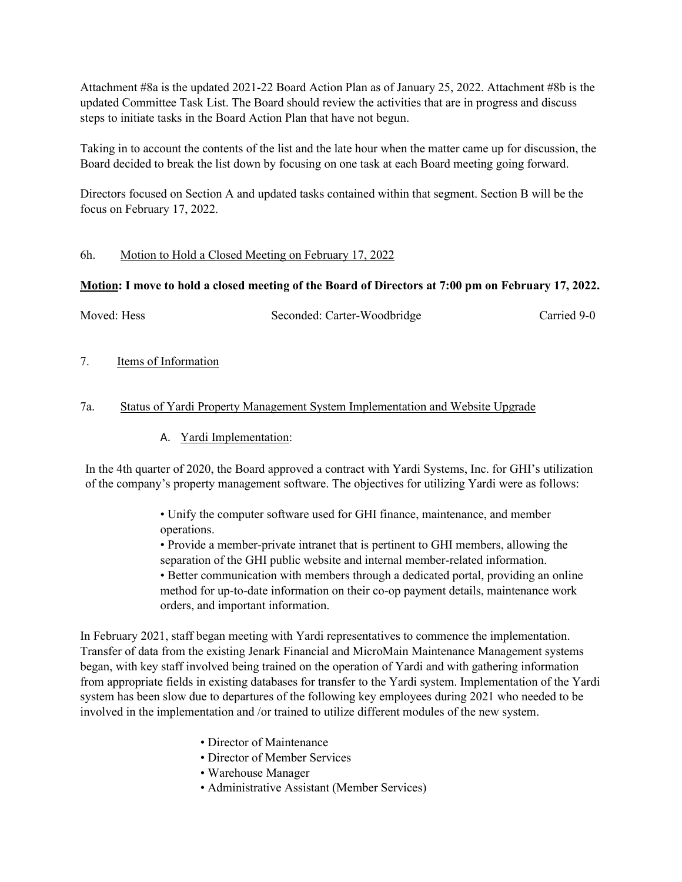Attachment #8a is the updated 2021-22 Board Action Plan as of January 25, 2022. Attachment #8b is the updated Committee Task List. The Board should review the activities that are in progress and discuss steps to initiate tasks in the Board Action Plan that have not begun.

Taking in to account the contents of the list and the late hour when the matter came up for discussion, the Board decided to break the list down by focusing on one task at each Board meeting going forward.

Directors focused on Section A and updated tasks contained within that segment. Section B will be the focus on February 17, 2022.

### 6h. Motion to Hold a Closed Meeting on February 17, 2022

## **Motion: I move to hold a closed meeting of the Board of Directors at 7:00 pm on February 17, 2022.**

Moved: Hess Seconded: Carter-Woodbridge Carried 9-0

7. Items of Information

### 7a. Status of Yardi Property Management System Implementation and Website Upgrade

### A. Yardi Implementation:

In the 4th quarter of 2020, the Board approved a contract with Yardi Systems, Inc. for GHI's utilization of the company's property management software. The objectives for utilizing Yardi were as follows:

> • Unify the computer software used for GHI finance, maintenance, and member operations.

• Provide a member-private intranet that is pertinent to GHI members, allowing the separation of the GHI public website and internal member-related information.

• Better communication with members through a dedicated portal, providing an online method for up-to-date information on their co-op payment details, maintenance work orders, and important information.

In February 2021, staff began meeting with Yardi representatives to commence the implementation. Transfer of data from the existing Jenark Financial and MicroMain Maintenance Management systems began, with key staff involved being trained on the operation of Yardi and with gathering information from appropriate fields in existing databases for transfer to the Yardi system. Implementation of the Yardi system has been slow due to departures of the following key employees during 2021 who needed to be involved in the implementation and /or trained to utilize different modules of the new system.

- Director of Maintenance
- Director of Member Services
- Warehouse Manager
- Administrative Assistant (Member Services)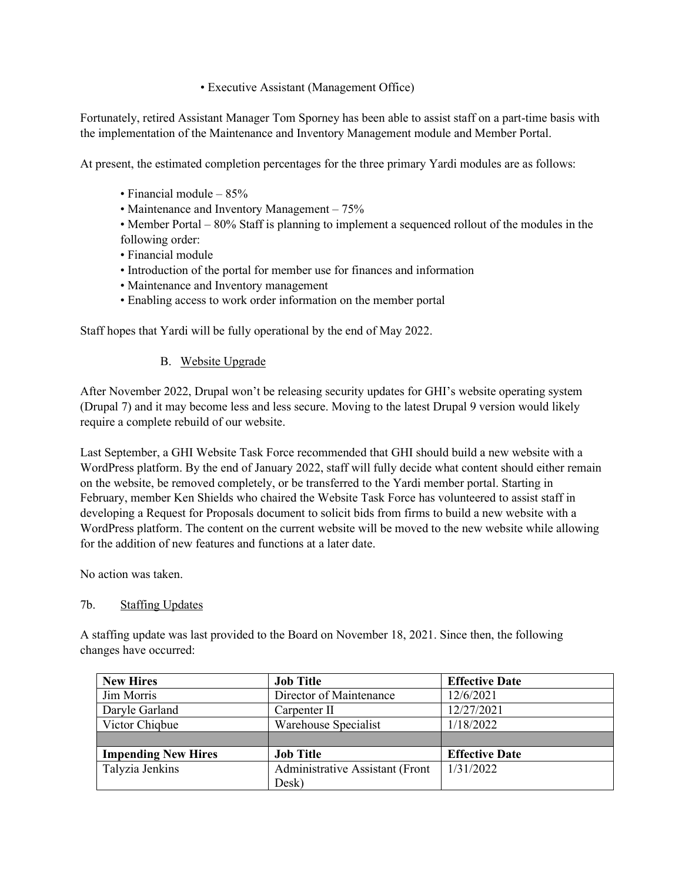• Executive Assistant (Management Office)

Fortunately, retired Assistant Manager Tom Sporney has been able to assist staff on a part-time basis with the implementation of the Maintenance and Inventory Management module and Member Portal.

At present, the estimated completion percentages for the three primary Yardi modules are as follows:

- Financial module 85%
- Maintenance and Inventory Management 75%

• Member Portal – 80% Staff is planning to implement a sequenced rollout of the modules in the following order:

• Financial module

- Introduction of the portal for member use for finances and information
- Maintenance and Inventory management
- Enabling access to work order information on the member portal

Staff hopes that Yardi will be fully operational by the end of May 2022.

### B. Website Upgrade

After November 2022, Drupal won't be releasing security updates for GHI's website operating system (Drupal 7) and it may become less and less secure. Moving to the latest Drupal 9 version would likely require a complete rebuild of our website.

Last September, a GHI Website Task Force recommended that GHI should build a new website with a WordPress platform. By the end of January 2022, staff will fully decide what content should either remain on the website, be removed completely, or be transferred to the Yardi member portal. Starting in February, member Ken Shields who chaired the Website Task Force has volunteered to assist staff in developing a Request for Proposals document to solicit bids from firms to build a new website with a WordPress platform. The content on the current website will be moved to the new website while allowing for the addition of new features and functions at a later date.

No action was taken.

#### 7b. Staffing Updates

A staffing update was last provided to the Board on November 18, 2021. Since then, the following changes have occurred:

| <b>New Hires</b>           | <b>Job Title</b>                | <b>Effective Date</b> |
|----------------------------|---------------------------------|-----------------------|
| Jim Morris                 | Director of Maintenance         | 12/6/2021             |
| Daryle Garland             | Carpenter II                    | 12/27/2021            |
| Victor Chiqbue             | Warehouse Specialist            | 1/18/2022             |
|                            |                                 |                       |
| <b>Impending New Hires</b> | <b>Job Title</b>                | <b>Effective Date</b> |
| Talyzia Jenkins            | Administrative Assistant (Front | 1/31/2022             |
|                            | Desk)                           |                       |